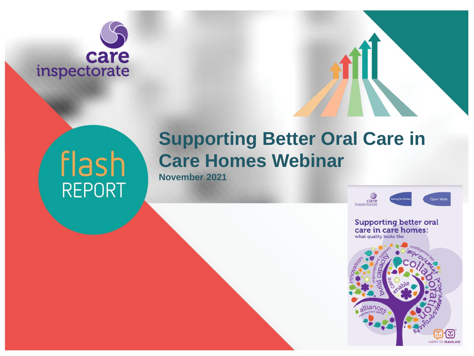# care inspectorate

# flash REPORT

## **Supporting Better Oral Care in Care Homes Webinar**

**November 2021**

Open Wide care

**TO TRANSLATE** 

**Supporting better oral** care in care homes: what quality looks like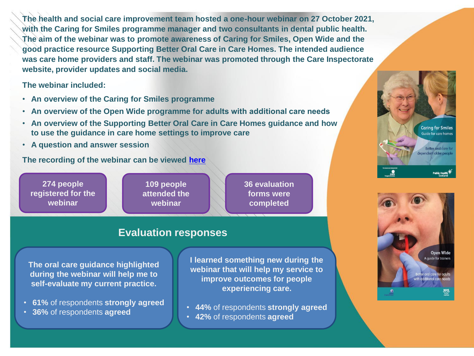**The health and social care improvement team hosted a one-hour webinar on 27 October 2021, with the Caring for Smiles programme manager and two consultants in dental public health. The aim of the webinar was to promote awareness of Caring for Smiles, Open Wide and the good practice resource Supporting Better Oral Care in Care Homes. The intended audience was care home providers and staff. The webinar was promoted through the Care Inspectorate website, provider updates and social media.** 

**The webinar included:**

- **An overview of the Caring for Smiles programme**
- **An overview of the Open Wide programme for adults with additional care needs**
- **An overview of the Supporting Better Oral Care in Care Homes guidance and how to use the guidance in care home settings to improve care**
- **A question and answer session**

**The recording of the webinar can be viewed [here](https://www.youtube.com/watch?v=OwlfEGGfcQo)**

**274 people registered for the webinar**

**109 people attended the webinar**

**36 evaluation forms were completed**

#### **Evaluation responses**

**The oral care guidance highlighted during the webinar will help me to self-evaluate my current practice.**

- **61%** of respondents **strongly agreed**
- **36%** of respondents **agreed**

**I learned something new during the webinar that will help my service to improve outcomes for people experiencing care.**

- **44%** of respondents **strongly agreed**
- **42%** of respondents **agreed**